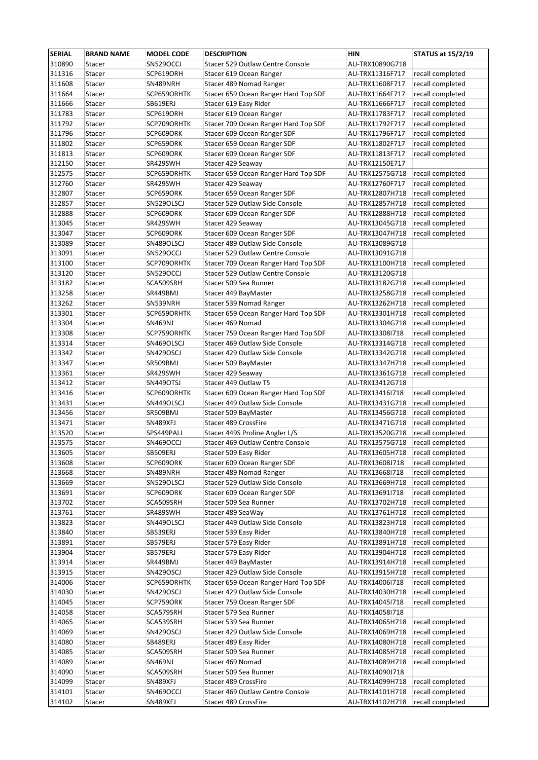| <b>SERIAL</b>    | <b>BRAND NAME</b> | <b>MODEL CODE</b>      | <b>DESCRIPTION</b>                                       | HIN                                | <b>STATUS at 15/2/19</b>             |
|------------------|-------------------|------------------------|----------------------------------------------------------|------------------------------------|--------------------------------------|
| 310890           | Stacer            | <b>SN529OCCJ</b>       | Stacer 529 Outlaw Centre Console                         | AU-TRX10890G718                    |                                      |
| 311316           | Stacer            | SCP619ORH              | Stacer 619 Ocean Ranger                                  | AU-TRX11316F717                    | recall completed                     |
| 311608           | Stacer            | SN489NRH               | Stacer 489 Nomad Ranger                                  | AU-TRX11608F717                    | recall completed                     |
| 311664           | Stacer            | SCP659ORHTK            | Stacer 659 Ocean Ranger Hard Top SDF                     | AU-TRX11664F717                    | recall completed                     |
| 311666           | Stacer            | SB619ERJ               | Stacer 619 Easy Rider                                    | AU-TRX11666F717                    | recall completed                     |
| 311783           | Stacer            | SCP619ORH              | Stacer 619 Ocean Ranger                                  | AU-TRX11783F717                    | recall completed                     |
| 311792           | Stacer            | SCP709ORHTK            | Stacer 709 Ocean Ranger Hard Top SDF                     | AU-TRX11792F717                    | recall completed                     |
| 311796           | Stacer            | SCP609ORK              | Stacer 609 Ocean Ranger SDF                              | AU-TRX11796F717                    | recall completed                     |
| 311802           | Stacer            | SCP659ORK              | Stacer 659 Ocean Ranger SDF                              | AU-TRX11802F717                    | recall completed                     |
| 311813           | Stacer            | SCP609ORK              | Stacer 609 Ocean Ranger SDF                              | AU-TRX11813F717                    | recall completed                     |
| 312150           | Stacer            | SR429SWH               | Stacer 429 Seaway                                        | AU-TRX12150E717                    |                                      |
| 312575           | Stacer            | SCP659ORHTK            | Stacer 659 Ocean Ranger Hard Top SDF                     | AU-TRX12575G718                    | recall completed                     |
| 312760           | Stacer            | SR429SWH               | Stacer 429 Seaway                                        | AU-TRX12760F717                    | recall completed                     |
| 312807           | Stacer            | SCP659ORK              | Stacer 659 Ocean Ranger SDF                              | AU-TRX12807H718                    | recall completed                     |
| 312857           | Stacer            | SN529OLSCJ             | Stacer 529 Outlaw Side Console                           | AU-TRX12857H718                    | recall completed                     |
| 312888           | Stacer            | SCP609ORK              | Stacer 609 Ocean Ranger SDF                              | AU-TRX12888H718                    | recall completed                     |
| 313045           | Stacer            | SR429SWH               | Stacer 429 Seaway                                        | AU-TRX13045G718                    | recall completed                     |
| 313047           | Stacer            | SCP609ORK              | Stacer 609 Ocean Ranger SDF                              | AU-TRX13047H718                    | recall completed                     |
| 313089           | Stacer            | SN489OLSCJ             | Stacer 489 Outlaw Side Console                           | AU-TRX13089G718                    |                                      |
| 313091           | Stacer            | <b>SN529OCCJ</b>       | Stacer 529 Outlaw Centre Console                         | AU-TRX13091G718                    |                                      |
| 313100           | Stacer            | SCP709ORHTK            | Stacer 709 Ocean Ranger Hard Top SDF                     | AU-TRX13100H718                    | recall completed                     |
| 313120           | Stacer            | <b>SN529OCCJ</b>       | Stacer 529 Outlaw Centre Console                         | AU-TRX13120G718                    |                                      |
| 313182           | Stacer            | SCA509SRH              | Stacer 509 Sea Runner                                    | AU-TRX13182G718                    | recall completed                     |
| 313258           | Stacer            | SR449BMJ               | Stacer 449 BayMaster                                     | AU-TRX13258G718                    | recall completed                     |
| 313262           | Stacer            | SN539NRH               | Stacer 539 Nomad Ranger                                  | AU-TRX13262H718                    | recall completed                     |
| 313301           | Stacer            | SCP659ORHTK            | Stacer 659 Ocean Ranger Hard Top SDF                     | AU-TRX13301H718                    | recall completed                     |
| 313304           | Stacer            | <b>SN469NJ</b>         | Stacer 469 Nomad                                         | AU-TRX13304G718                    | recall completed                     |
| 313308           | Stacer            | SCP759ORHTK            | Stacer 759 Ocean Ranger Hard Top SDF                     | AU-TRX13308I718                    | recall completed                     |
| 313314           | Stacer            | SN469OLSCJ             | Stacer 469 Outlaw Side Console                           | AU-TRX13314G718                    | recall completed                     |
| 313342           | Stacer            | SN429OSCJ              | Stacer 429 Outlaw Side Console                           | AU-TRX13342G718                    | recall completed                     |
| 313347           | Stacer            | SR509BMJ               | Stacer 509 BayMaster                                     | AU-TRX13347H718                    | recall completed                     |
| 313361           | Stacer            | SR429SWH               | Stacer 429 Seaway                                        | AU-TRX13361G718                    | recall completed                     |
| 313412           | Stacer            | SN449OTSJ              | Stacer 449 Outlaw TS                                     | AU-TRX13412G718                    |                                      |
| 313416           | Stacer            | SCP609ORHTK            | Stacer 609 Ocean Ranger Hard Top SDF                     | AU-TRX13416I718                    | recall completed                     |
| 313431           | Stacer            | SN449OLSCJ             | Stacer 449 Outlaw Side Console                           | AU-TRX13431G718                    | recall completed                     |
| 313456           | Stacer            | SR509BMJ               | Stacer 509 BayMaster                                     | AU-TRX13456G718                    | recall completed                     |
| 313471           | Stacer            | SN489XFJ               | Stacer 489 CrossFire                                     | AU-TRX13471G718                    | recall completed                     |
| 313520           | Stacer            | SPS449PALJ             | Stacer 449S Proline Angler L/S                           | AU-TRX13520G718                    | recall completed                     |
| 313575           | Stacer            | SN469OCCJ              | Stacer 469 Outlaw Centre Console                         | AU-TRX13575G718                    | recall completed                     |
| 313605           | Stacer            | SB509ERJ               | Stacer 509 Easy Rider                                    | AU-TRX13605H718 recall completed   |                                      |
| 313608           | Stacer            | SCP609ORK              | Stacer 609 Ocean Ranger SDF                              | AU-TRX13608J718                    | recall completed                     |
| 313668           | Stacer            | SN489NRH               | Stacer 489 Nomad Ranger                                  | AU-TRX13668I718                    | recall completed                     |
| 313669           | Stacer            | SN529OLSCJ             | Stacer 529 Outlaw Side Console                           | AU-TRX13669H718                    | recall completed                     |
| 313691           | Stacer            | SCP609ORK              | Stacer 609 Ocean Ranger SDF                              | AU-TRX13691I718                    | recall completed                     |
| 313702           | Stacer            | SCA509SRH              | Stacer 509 Sea Runner                                    | AU-TRX13702H718                    | recall completed                     |
| 313761           | Stacer            | SR489SWH               | Stacer 489 SeaWay                                        | AU-TRX13761H718                    | recall completed                     |
| 313823           | Stacer            | SN449OLSCJ             | Stacer 449 Outlaw Side Console                           | AU-TRX13823H718                    | recall completed                     |
| 313840           | Stacer            | SB539ERJ               | Stacer 539 Easy Rider                                    | AU-TRX13840H718                    | recall completed                     |
| 313891           | Stacer            | SB579ERJ               | Stacer 579 Easy Rider                                    | AU-TRX13891H718                    | recall completed                     |
| 313904           | Stacer            | SB579ERJ               | Stacer 579 Easy Rider                                    | AU-TRX13904H718                    | recall completed                     |
| 313914           | Stacer            | SR449BMJ               | Stacer 449 BayMaster                                     | AU-TRX13914H718                    | recall completed                     |
| 313915           | Stacer            | SN429OSCJ              | Stacer 429 Outlaw Side Console                           | AU-TRX13915H718                    | recall completed                     |
| 314006           | Stacer            | SCP659ORHTK            | Stacer 659 Ocean Ranger Hard Top SDF                     | AU-TRX14006I718                    | recall completed                     |
| 314030           | Stacer            | SN429OSCJ              | Stacer 429 Outlaw Side Console                           | AU-TRX14030H718                    | recall completed                     |
| 314045           |                   |                        |                                                          |                                    |                                      |
| 314058           | Stacer<br>Stacer  | SCP759ORK<br>SCA579SRH | Stacer 759 Ocean Ranger SDF<br>Stacer 579 Sea Runner     | AU-TRX140451718<br>AU-TRX14058I718 | recall completed                     |
| 314065           | Stacer            | SCA539SRH              | Stacer 539 Sea Runner                                    | AU-TRX14065H718                    | recall completed                     |
| 314069           | Stacer            | SN429OSCJ              | Stacer 429 Outlaw Side Console                           | AU-TRX14069H718                    | recall completed                     |
| 314080           |                   |                        | Stacer 489 Easy Rider                                    |                                    | recall completed                     |
| 314085           | Stacer<br>Stacer  | SB489ERJ<br>SCA509SRH  | Stacer 509 Sea Runner                                    | AU-TRX14080H718<br>AU-TRX14085H718 | recall completed                     |
| 314089           |                   |                        | Stacer 469 Nomad                                         |                                    | recall completed                     |
| 314090           | Stacer            | SN469NJ                | Stacer 509 Sea Runner                                    | AU-TRX14089H718                    |                                      |
|                  | Stacer            | SCA509SRH              | Stacer 489 CrossFire                                     | AU-TRX14090J718                    | recall completed                     |
| 314099           | Stacer            | SN489XFJ               |                                                          | AU-TRX14099H718                    |                                      |
| 314101<br>314102 | Stacer<br>Stacer  | SN469OCCJ<br>SN489XFJ  | Stacer 469 Outlaw Centre Console<br>Stacer 489 CrossFire | AU-TRX14101H718<br>AU-TRX14102H718 | recall completed<br>recall completed |
|                  |                   |                        |                                                          |                                    |                                      |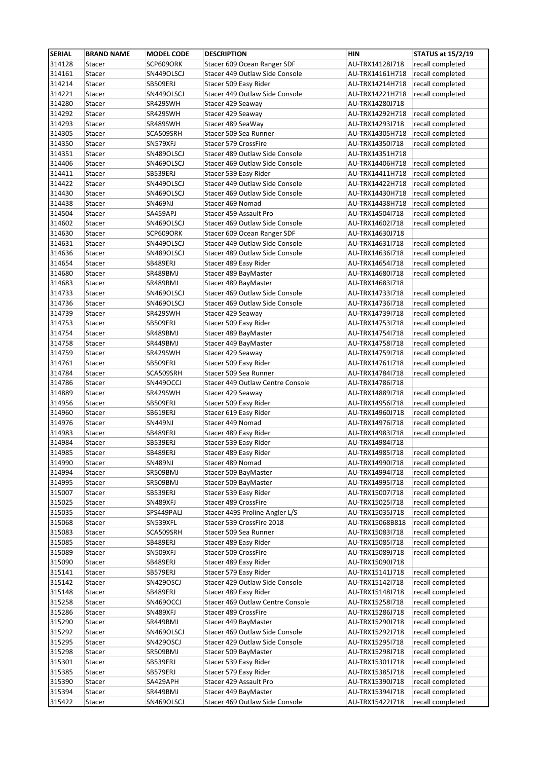| <b>SERIAL</b>    | <b>BRAND NAME</b> | <b>MODEL CODE</b>    | <b>DESCRIPTION</b>                                          | <b>HIN</b>                         | <b>STATUS at 15/2/19</b> |
|------------------|-------------------|----------------------|-------------------------------------------------------------|------------------------------------|--------------------------|
| 314128           | Stacer            | SCP609ORK            | Stacer 609 Ocean Ranger SDF                                 | AU-TRX14128J718                    | recall completed         |
| 314161           | Stacer            | SN449OLSCJ           | Stacer 449 Outlaw Side Console                              | AU-TRX14161H718                    | recall completed         |
| 314214           | Stacer            | SB509ERJ             | Stacer 509 Easy Rider                                       | AU-TRX14214H718                    | recall completed         |
| 314221           | Stacer            | SN449OLSCJ           | Stacer 449 Outlaw Side Console                              | AU-TRX14221H718                    | recall completed         |
| 314280           | Stacer            | SR429SWH             | Stacer 429 Seaway                                           | AU-TRX14280J718                    |                          |
| 314292           | Stacer            | SR429SWH             | Stacer 429 Seaway                                           | AU-TRX14292H718                    | recall completed         |
| 314293           | Stacer            | SR489SWH             | Stacer 489 SeaWay                                           | AU-TRX14293J718                    | recall completed         |
| 314305           | Stacer            | SCA509SRH            | Stacer 509 Sea Runner                                       | AU-TRX14305H718                    | recall completed         |
| 314350           | Stacer            | SN579XFJ             | Stacer 579 CrossFire                                        | AU-TRX143501718                    | recall completed         |
| 314351           | Stacer            | SN489OLSCJ           | Stacer 489 Outlaw Side Console                              | AU-TRX14351H718                    |                          |
| 314406           | Stacer            | SN469OLSCJ           | Stacer 469 Outlaw Side Console                              | AU-TRX14406H718                    | recall completed         |
| 314411           | Stacer            | SB539ERJ             | Stacer 539 Easy Rider                                       | AU-TRX14411H718                    | recall completed         |
| 314422           | Stacer            | SN449OLSCJ           | Stacer 449 Outlaw Side Console                              | AU-TRX14422H718                    | recall completed         |
| 314430           | Stacer            | SN469OLSCJ           | Stacer 469 Outlaw Side Console                              | AU-TRX14430H718                    | recall completed         |
| 314438           | Stacer            | <b>SN469NJ</b>       | Stacer 469 Nomad                                            | AU-TRX14438H718                    | recall completed         |
| 314504           | Stacer            | SA459APJ             | Stacer 459 Assault Pro                                      | AU-TRX14504I718                    | recall completed         |
| 314602           | Stacer            | SN469OLSCJ           | Stacer 469 Outlaw Side Console                              | AU-TRX14602I718                    | recall completed         |
| 314630           | Stacer            | SCP609ORK            | Stacer 609 Ocean Ranger SDF                                 | AU-TRX14630J718                    |                          |
| 314631           | Stacer            | SN449OLSCJ           | Stacer 449 Outlaw Side Console                              | AU-TRX14631I718                    | recall completed         |
| 314636           | Stacer            | SN489OLSCJ           | Stacer 489 Outlaw Side Console                              | AU-TRX14636I718                    | recall completed         |
| 314654           | Stacer            | SB489ERJ             | Stacer 489 Easy Rider                                       | AU-TRX14654I718                    | recall completed         |
| 314680           | Stacer            | SR489BMJ             | Stacer 489 BayMaster                                        | AU-TRX14680I718                    | recall completed         |
| 314683           | Stacer            | SR489BMJ             | Stacer 489 BayMaster                                        | AU-TRX14683I718                    |                          |
| 314733           | Stacer            | SN469OLSCJ           | Stacer 469 Outlaw Side Console                              | AU-TRX14733I718                    | recall completed         |
| 314736           | Stacer            | SN469OLSCJ           | Stacer 469 Outlaw Side Console                              | AU-TRX14736I718                    | recall completed         |
| 314739           | Stacer            | SR429SWH             | Stacer 429 Seaway                                           | AU-TRX14739I718                    | recall completed         |
| 314753           | Stacer            | SB509ERJ             | Stacer 509 Easy Rider                                       | AU-TRX14753I718                    | recall completed         |
| 314754           | Stacer            | SR489BMJ             | Stacer 489 BayMaster                                        | AU-TRX147541718                    | recall completed         |
| 314758           | Stacer            | SR449BMJ             | Stacer 449 BayMaster                                        | AU-TRX14758I718                    | recall completed         |
| 314759           | Stacer            | SR429SWH             | Stacer 429 Seaway                                           | AU-TRX14759I718                    | recall completed         |
| 314761           | Stacer            | SB509ERJ             | Stacer 509 Easy Rider                                       | AU-TRX14761I718                    | recall completed         |
| 314784           | Stacer            | SCA509SRH            | Stacer 509 Sea Runner                                       | AU-TRX14784I718                    | recall completed         |
| 314786           | Stacer            | SN449OCCJ            | Stacer 449 Outlaw Centre Console                            | AU-TRX14786I718                    |                          |
| 314889           | Stacer            | SR429SWH             | Stacer 429 Seaway                                           | AU-TRX14889I718                    | recall completed         |
| 314956           | Stacer            |                      |                                                             |                                    | recall completed         |
| 314960           | Stacer            | SB509ERJ<br>SB619ERJ | Stacer 509 Easy Rider<br>Stacer 619 Easy Rider              | AU-TRX14956I718<br>AU-TRX14960J718 | recall completed         |
|                  |                   | <b>SN449NJ</b>       | Stacer 449 Nomad                                            |                                    | recall completed         |
| 314976<br>314983 | Stacer<br>Stacer  | SB489ERJ             | Stacer 489 Easy Rider                                       | AU-TRX14976I718<br>AU-TRX14983I718 | recall completed         |
| 314984           |                   | SB539ERJ             | Stacer 539 Easy Rider                                       |                                    |                          |
| 314985           | Stacer            |                      |                                                             | AU-TRX14984I718<br>AU-TRX14985I718 |                          |
|                  | Stacer            | SB489ERJ             | Stacer 489 Easy Rider                                       |                                    | recall completed         |
| 314990           | Stacer            | SN489NJ              | Stacer 489 Nomad                                            | AU-TRX14990I718                    | recall completed         |
| 314994           | Stacer            | SR509BMJ             | Stacer 509 BayMaster                                        | AU-TRX14994I718                    | recall completed         |
| 314995           | Stacer            | SR509BMJ             | Stacer 509 BayMaster                                        | AU-TRX14995I718                    | recall completed         |
| 315007           | Stacer            | SB539ERJ             | Stacer 539 Easy Rider                                       | AU-TRX15007I718                    | recall completed         |
| 315025           | Stacer            | SN489XFJ             | Stacer 489 CrossFire                                        | AU-TRX15025I718                    | recall completed         |
| 315035           | Stacer            | SPS449PALJ           | Stacer 449S Proline Angler L/S<br>Stacer 539 CrossFire 2018 | AU-TRX15035J718                    | recall completed         |
| 315068           | Stacer            | SN539XFL             |                                                             | AU-TRX15068B818                    | recall completed         |
| 315083           | Stacer            | SCA509SRH            | Stacer 509 Sea Runner                                       | AU-TRX15083I718                    | recall completed         |
| 315085           | Stacer            | SB489ERJ             | Stacer 489 Easy Rider                                       | AU-TRX15085I718                    | recall completed         |
| 315089           | Stacer            | SN509XFJ             | Stacer 509 CrossFire                                        | AU-TRX15089J718                    | recall completed         |
| 315090           | Stacer            | SB489ERJ             | Stacer 489 Easy Rider                                       | AU-TRX15090J718                    |                          |
| 315141           | Stacer            | SB579ERJ             | Stacer 579 Easy Rider                                       | AU-TRX15141J718                    | recall completed         |
| 315142           | Stacer            | SN429OSCJ            | Stacer 429 Outlaw Side Console                              | AU-TRX15142I718                    | recall completed         |
| 315148           | Stacer            | SB489ERJ             | Stacer 489 Easy Rider                                       | AU-TRX15148J718                    | recall completed         |
| 315258           | Stacer            | SN469OCCJ            | Stacer 469 Outlaw Centre Console                            | AU-TRX15258I718                    | recall completed         |
| 315286           | Stacer            | SN489XFJ             | Stacer 489 CrossFire                                        | AU-TRX15286J718                    | recall completed         |
| 315290           | Stacer            | SR449BMJ             | Stacer 449 BayMaster                                        | AU-TRX15290J718                    | recall completed         |
| 315292           | Stacer            | SN469OLSCJ           | Stacer 469 Outlaw Side Console                              | AU-TRX15292J718                    | recall completed         |
| 315295           | Stacer            | SN429OSCJ            | Stacer 429 Outlaw Side Console                              | AU-TRX15295I718                    | recall completed         |
| 315298           | Stacer            | SR509BMJ             | Stacer 509 BayMaster                                        | AU-TRX15298J718                    | recall completed         |
| 315301           | Stacer            | SB539ERJ             | Stacer 539 Easy Rider                                       | AU-TRX15301J718                    | recall completed         |
| 315385           | Stacer            | SB579ERJ             | Stacer 579 Easy Rider                                       | AU-TRX15385J718                    | recall completed         |
| 315390           | Stacer            | SA429APH             | Stacer 429 Assault Pro                                      | AU-TRX15390J718                    | recall completed         |
| 315394           | Stacer            | SR449BMJ             | Stacer 449 BayMaster                                        | AU-TRX15394J718                    | recall completed         |
| 315422           | Stacer            | SN469OLSCJ           | Stacer 469 Outlaw Side Console                              | AU-TRX15422J718                    | recall completed         |